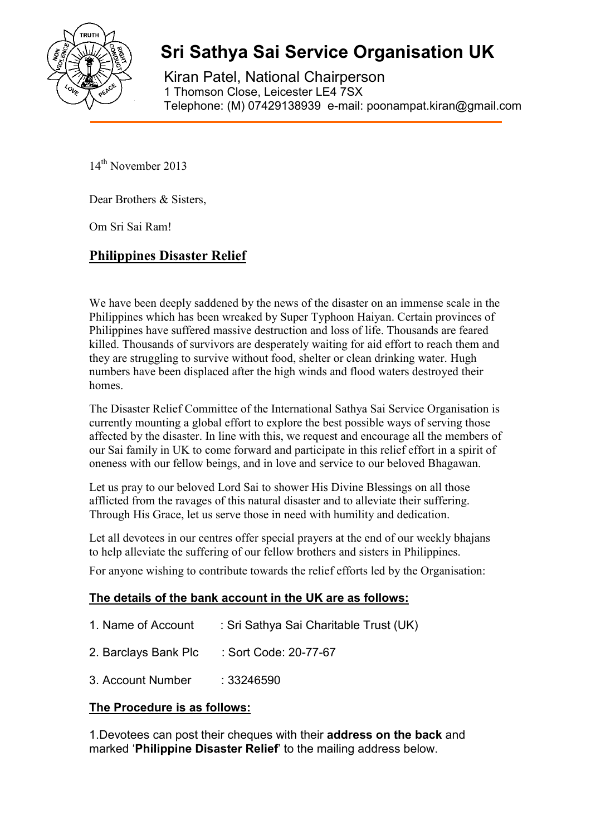

# **Sri Sathya Sai Service Organisation UK**

Kiran Patel, National Chairperson 1 Thomson Close, Leicester LE4 7SX Telephone: (M) 07429138939 e-mail: poonampat.kiran@gmail.com

14<sup>th</sup> November 2013

Dear Brothers & Sisters,

Om Sri Sai Ram!

## **Philippines Disaster Relief**

We have been deeply saddened by the news of the disaster on an immense scale in the Philippines which has been wreaked by Super Typhoon Haiyan. Certain provinces of Philippines have suffered massive destruction and loss of life. Thousands are feared killed. Thousands of survivors are desperately waiting for aid effort to reach them and they are struggling to survive without food, shelter or clean drinking water. Hugh numbers have been displaced after the high winds and flood waters destroyed their homes.

The Disaster Relief Committee of the International Sathya Sai Service Organisation is currently mounting a global effort to explore the best possible ways of serving those affected by the disaster. In line with this, we request and encourage all the members of our Sai family in UK to come forward and participate in this relief effort in a spirit of oneness with our fellow beings, and in love and service to our beloved Bhagawan.

Let us pray to our beloved Lord Sai to shower His Divine Blessings on all those afflicted from the ravages of this natural disaster and to alleviate their suffering. Through His Grace, let us serve those in need with humility and dedication.

Let all devotees in our centres offer special prayers at the end of our weekly bhajans to help alleviate the suffering of our fellow brothers and sisters in Philippines. For anyone wishing to contribute towards the relief efforts led by the Organisation:

## **The details of the bank account in the UK are as follows:**

| 1. Name of Account   | : Sri Sathya Sai Charitable Trust (UK) |
|----------------------|----------------------------------------|
| 2. Barclays Bank Plc | : Sort Code: 20-77-67                  |
| 3. Account Number    | :33246590                              |

## **The Procedure is as follows:**

1.Devotees can post their cheques with their **address on the back** and marked '**Philippine Disaster Relief**' to the mailing address below.